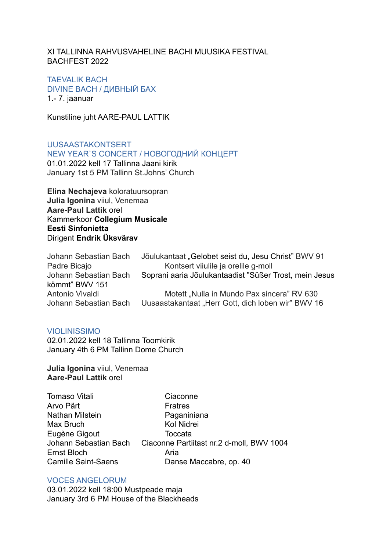XI TALLINNA RAHVUSVAHELINE BACHI MUUSIKA FESTIVAL BACHFEST 2022

TAFVALIK BACH DIVINE BACH / ДИВНЫЙ БАХ 1.- 7. jaanuar

Kunstiline juht AARE-PAUL LATTIK

UUSAASTAKONTSERT NEW YEAR`S CONCERT / НОВОГОДНИЙ КОНЦЕРТ

01.01.2022 kell 17 Tallinna Jaani kirik January 1st 5 PM Tallinn St.Johns' Church

**Elina Nechajeva** koloratuursopran **Julia Igonina** viiul, Venemaa **Aare-Paul Lattik** orel Kammerkoor **Collegium Musicale Eesti Sinfonietta** Dirigent **Endrik Üksvärav**

| Jõulukantaat "Gelobet seist du, Jesu Christ" BWV 91    |
|--------------------------------------------------------|
| Kontsert viiulile ja orelile g-moll                    |
| Soprani aaria Jõulukantaadist "Süßer Trost, mein Jesus |
|                                                        |
| Motett "Nulla in Mundo Pax sincera" RV 630             |
| Uusaastakantaat "Herr Gott, dich loben wir" BWV 16     |
|                                                        |

#### VIOLINISSIMO

02.01.2022 kell 18 Tallinna Toomkirik January 4th 6 PM Tallinn Dome Church

**Julia Igonina** viiul, Venemaa **Aare-Paul Lattik** orel

| <b>Tomaso Vitali</b>       | Ciaconne                                   |
|----------------------------|--------------------------------------------|
| Arvo Pärt                  | <b>Fratres</b>                             |
| Nathan Milstein            | Paganiniana                                |
| Max Bruch                  | Kol Nidrei                                 |
| Eugène Gigout              | Toccata                                    |
| Johann Sebastian Bach      | Ciaconne Partiitast nr. 2 d-moll, BWV 1004 |
| Ernst Bloch                | Aria                                       |
| <b>Camille Saint-Saens</b> | Danse Maccabre, op. 40                     |
|                            |                                            |

### VOCES ANGELORUM

03.01.2022 kell 18:00 Mustpeade maja January 3rd 6 PM House of the Blackheads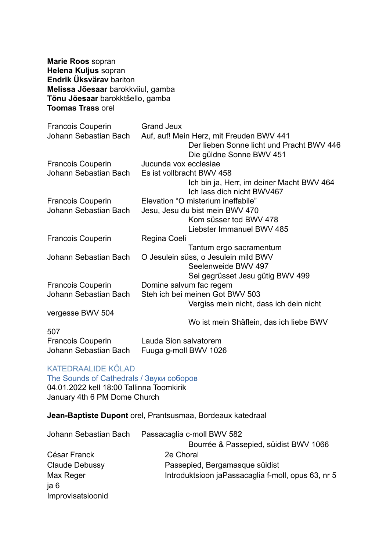**Marie Roos** sopran **Helena Kuljus** sopran **Endrik Üksvärav** bariton **Melissa Jõesaar** barokkviiul, gamba **Tõnu Jõesaar** barokktšello, gamba **Toomas Trass** orel

| Francois Couperin        | <b>Grand Jeux</b>                         |
|--------------------------|-------------------------------------------|
| Johann Sebastian Bach    | Auf, auf! Mein Herz, mit Freuden BWV 441  |
|                          | Der lieben Sonne licht und Pracht BWV 446 |
|                          | Die güldne Sonne BWV 451                  |
| <b>Francois Couperin</b> | Jucunda vox ecclesiae                     |
| Johann Sebastian Bach    | Es ist vollbracht BWV 458                 |
|                          | Ich bin ja, Herr, im deiner Macht BWV 464 |
|                          | Ich lass dich nicht BWV467                |
| <b>Francois Couperin</b> | Elevation "O misterium ineffabile"        |
| Johann Sebastian Bach    | Jesu, Jesu du bist mein BWV 470           |
|                          | Kom süsser tod BWV 478                    |
|                          | Liebster Immanuel BWV 485                 |
| <b>Francois Couperin</b> | Regina Coeli                              |
|                          | Tantum ergo sacramentum                   |
| Johann Sebastian Bach    | O Jesulein süss, o Jesulein mild BWV      |
|                          | Seelenweide BWV 497                       |
|                          | Sei gegrüsset Jesu gütig BWV 499          |
| <b>Francois Couperin</b> | Domine salvum fac regem                   |
| Johann Sebastian Bach    | Steh ich bei meinen Got BWV 503           |
|                          | Vergiss mein nicht, dass ich dein nicht   |
| vergesse BWV 504         |                                           |
|                          | Wo ist mein Shäflein, das ich liebe BWV   |
| 507                      |                                           |
| <b>Francois Couperin</b> | Lauda Sion salvatorem                     |
| Johann Sebastian Bach    | Fuuga g-moll BWV 1026                     |

# KATEDRAALIDE KÕLAD

The Sounds of Cathedrals / Звуки соборов 04.01.2022 kell 18:00 Tallinna Toomkirik January 4th 6 PM Dome Church

**Jean-Baptiste Dupont** orel, Prantsusmaa, Bordeaux katedraal

| Johann Sebastian Bach | Passacaglia c-moll BWV 582                          |
|-----------------------|-----------------------------------------------------|
|                       | Bourrée & Passepied, süidist BWV 1066               |
| César Franck          | 2e Choral                                           |
| Claude Debussy        | Passepied, Bergamasque süidist                      |
| Max Reger             | Introduktsioon ja Passacaglia f-moll, opus 63, nr 5 |
| a 6                   |                                                     |
| Improvisatsioonid     |                                                     |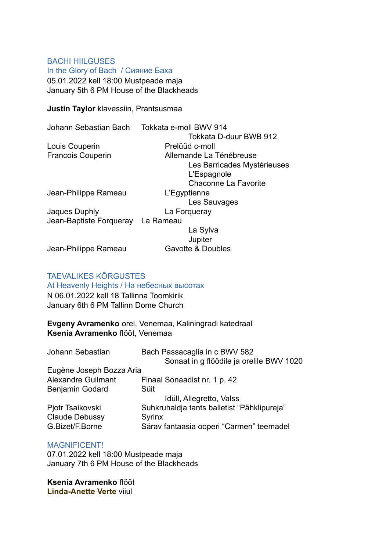# BACHI HIILGUSES In the Glory of Bach / Сияние Баха

05.01.2022 kell 18:00 Mustpeade maja January 5th 6 PM House of the Blackheads

### **Justin Taylor** klavessiin, Prantsusmaa

| Johann Sebastian Bach    | Tokkata e-moll BWV 914      |
|--------------------------|-----------------------------|
|                          | Tokkata D-duur BWB 912      |
| Louis Couperin           | Prelüüd c-moll              |
| <b>Francois Couperin</b> | Allemande La Ténébreuse     |
|                          | Les Barricades Mystérieuses |
|                          | L'Espagnole                 |
|                          | Chaconne La Favorite        |
| Jean-Philippe Rameau     | L'Egyptienne                |
|                          | Les Sauvages                |
| Jaques Duphly            | La Forgueray                |
| Jean-Baptiste Forqueray  | La Rameau                   |
|                          | La Sylva                    |
|                          | Jupiter                     |
| Jean-Philippe Rameau     | Gavotte & Doubles           |
|                          |                             |

## TAEVALIKES KÕRGUSTES

At Heavenly Heights / На небесных высотах N 06.01.2022 kell 18 Tallinna Toomkirik January 6th 6 PM Tallinn Dome Church

**Evgeny Avramenko** orel, Venemaa, Kaliningradi katedraal **Ksenia Avramenko** flööt, Venemaa

| Johann Sebastian          | Bach Passacaglia in c BWV 582               |
|---------------------------|---------------------------------------------|
|                           | Sonaat in g flöödile ja orelile BWV 1020    |
| Eugène Joseph Bozza Aria  |                                             |
| <b>Alexandre Guilmant</b> | Finaal Sonaadist nr. 1 p. 42                |
| Benjamin Godard           | Süit                                        |
|                           | Idüll, Allegretto, Valss                    |
| Pjotr Tsaikovski          | Suhkruhaldja tants balletist "Pähklipureja" |
| <b>Claude Debussy</b>     | <b>Syrinx</b>                               |
| G.Bizet/F.Borne           | Särav fantaasia ooperi "Carmen" teemadel    |

## MAGNIFICENT!

07.01.2022 kell 18:00 Mustpeade maja January 7th 6 PM House of the Blackheads

**Ksenia Avramenko** flööt **Linda-Anette Verte** viiul